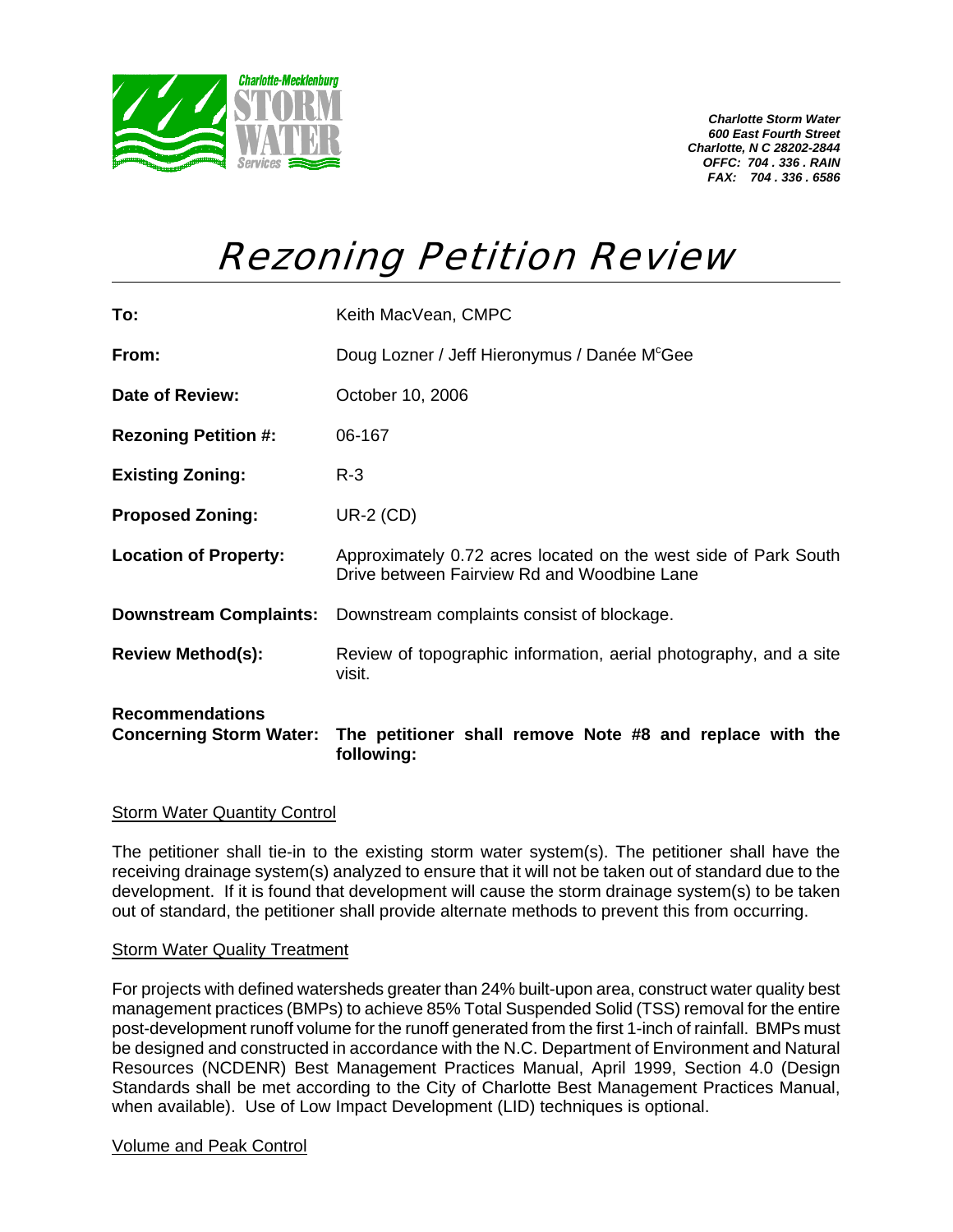

*Charlotte Storm Water 600 East Fourth Street Charlotte, N C 28202-2844 OFFC: 704 . 336 . RAIN FAX: 704 . 336 . 6586* 

## Rezoning Petition Review

| <b>Recommendations</b>        | Concerning Storm Water: The petitioner shall remove Note #8 and replace with the<br>following:                 |
|-------------------------------|----------------------------------------------------------------------------------------------------------------|
| <b>Review Method(s):</b>      | Review of topographic information, aerial photography, and a site<br>visit.                                    |
| <b>Downstream Complaints:</b> | Downstream complaints consist of blockage.                                                                     |
| <b>Location of Property:</b>  | Approximately 0.72 acres located on the west side of Park South<br>Drive between Fairview Rd and Woodbine Lane |
| <b>Proposed Zoning:</b>       | $UR-2$ (CD)                                                                                                    |
| <b>Existing Zoning:</b>       | $R-3$                                                                                                          |
| <b>Rezoning Petition #:</b>   | 06-167                                                                                                         |
| Date of Review:               | October 10, 2006                                                                                               |
| From:                         | Doug Lozner / Jeff Hieronymus / Danée M <sup>c</sup> Gee                                                       |
| To:                           | Keith MacVean, CMPC                                                                                            |

## **Storm Water Quantity Control**

The petitioner shall tie-in to the existing storm water system(s). The petitioner shall have the receiving drainage system(s) analyzed to ensure that it will not be taken out of standard due to the development. If it is found that development will cause the storm drainage system(s) to be taken out of standard, the petitioner shall provide alternate methods to prevent this from occurring.

## **Storm Water Quality Treatment**

For projects with defined watersheds greater than 24% built-upon area, construct water quality best management practices (BMPs) to achieve 85% Total Suspended Solid (TSS) removal for the entire post-development runoff volume for the runoff generated from the first 1-inch of rainfall. BMPs must be designed and constructed in accordance with the N.C. Department of Environment and Natural Resources (NCDENR) Best Management Practices Manual, April 1999, Section 4.0 (Design Standards shall be met according to the City of Charlotte Best Management Practices Manual, when available). Use of Low Impact Development (LID) techniques is optional.

## Volume and Peak Control